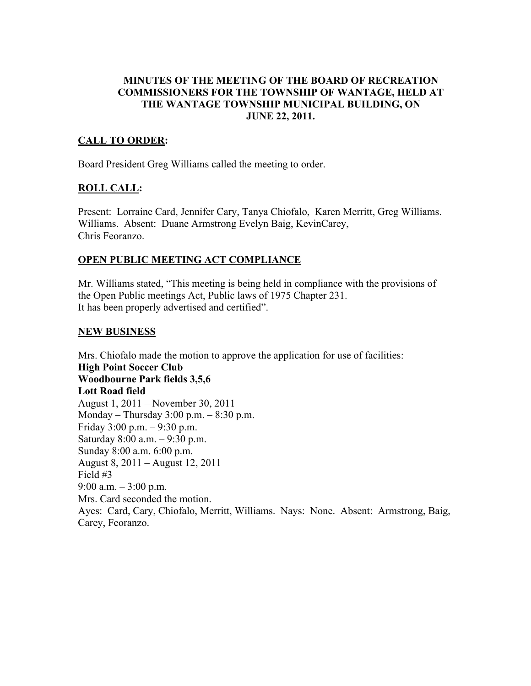#### MINUTES OF THE MEETING OF THE BOARD OF RECREATION COMMISSIONERS FOR THE TOWNSHIP OF WANTAGE, HELD AT THE WANTAGE TOWNSHIP MUNICIPAL BUILDING, ON JUNE 22, 2011.

## CALL TO ORDER:

Board President Greg Williams called the meeting to order.

### ROLL CALL:

Present: Lorraine Card, Jennifer Cary, Tanya Chiofalo, Karen Merritt, Greg Williams. Williams. Absent: Duane Armstrong Evelyn Baig, KevinCarey, Chris Feoranzo.

### OPEN PUBLIC MEETING ACT COMPLIANCE

Mr. Williams stated, "This meeting is being held in compliance with the provisions of the Open Public meetings Act, Public laws of 1975 Chapter 231. It has been properly advertised and certified".

#### NEW BUSINESS

Mrs. Chiofalo made the motion to approve the application for use of facilities: High Point Soccer Club Woodbourne Park fields 3,5,6 Lott Road field August 1, 2011 – November 30, 2011 Monday – Thursday 3:00 p.m. – 8:30 p.m. Friday 3:00 p.m. – 9:30 p.m. Saturday 8:00 a.m. – 9:30 p.m. Sunday 8:00 a.m. 6:00 p.m. August 8, 2011 – August 12, 2011 Field #3 9:00 a.m.  $-3:00$  p.m. Mrs. Card seconded the motion. Ayes: Card, Cary, Chiofalo, Merritt, Williams. Nays: None. Absent: Armstrong, Baig, Carey, Feoranzo.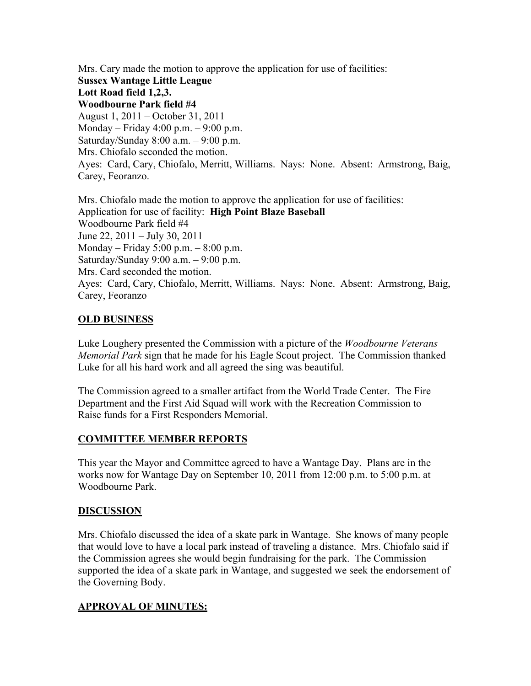Mrs. Cary made the motion to approve the application for use of facilities: Sussex Wantage Little League Lott Road field 1,2,3. Woodbourne Park field #4 August 1, 2011 – October 31, 2011 Monday – Friday 4:00 p.m. – 9:00 p.m. Saturday/Sunday  $8:00$  a.m.  $-9:00$  p.m. Mrs. Chiofalo seconded the motion. Ayes: Card, Cary, Chiofalo, Merritt, Williams. Nays: None. Absent: Armstrong, Baig, Carey, Feoranzo.

Mrs. Chiofalo made the motion to approve the application for use of facilities: Application for use of facility: High Point Blaze Baseball Woodbourne Park field #4 June 22, 2011 – July 30, 2011 Monday – Friday 5:00 p.m. – 8:00 p.m. Saturday/Sunday 9:00 a.m. – 9:00 p.m. Mrs. Card seconded the motion. Ayes: Card, Cary, Chiofalo, Merritt, Williams. Nays: None. Absent: Armstrong, Baig, Carey, Feoranzo

#### OLD BUSINESS

Luke Loughery presented the Commission with a picture of the *Woodbourne Veterans Memorial Park* sign that he made for his Eagle Scout project. The Commission thanked Luke for all his hard work and all agreed the sing was beautiful.

The Commission agreed to a smaller artifact from the World Trade Center. The Fire Department and the First Aid Squad will work with the Recreation Commission to Raise funds for a First Responders Memorial.

### COMMITTEE MEMBER REPORTS

This year the Mayor and Committee agreed to have a Wantage Day. Plans are in the works now for Wantage Day on September 10, 2011 from 12:00 p.m. to 5:00 p.m. at Woodbourne Park.

#### DISCUSSION

Mrs. Chiofalo discussed the idea of a skate park in Wantage. She knows of many people that would love to have a local park instead of traveling a distance. Mrs. Chiofalo said if the Commission agrees she would begin fundraising for the park. The Commission supported the idea of a skate park in Wantage, and suggested we seek the endorsement of the Governing Body.

### APPROVAL OF MINUTES: